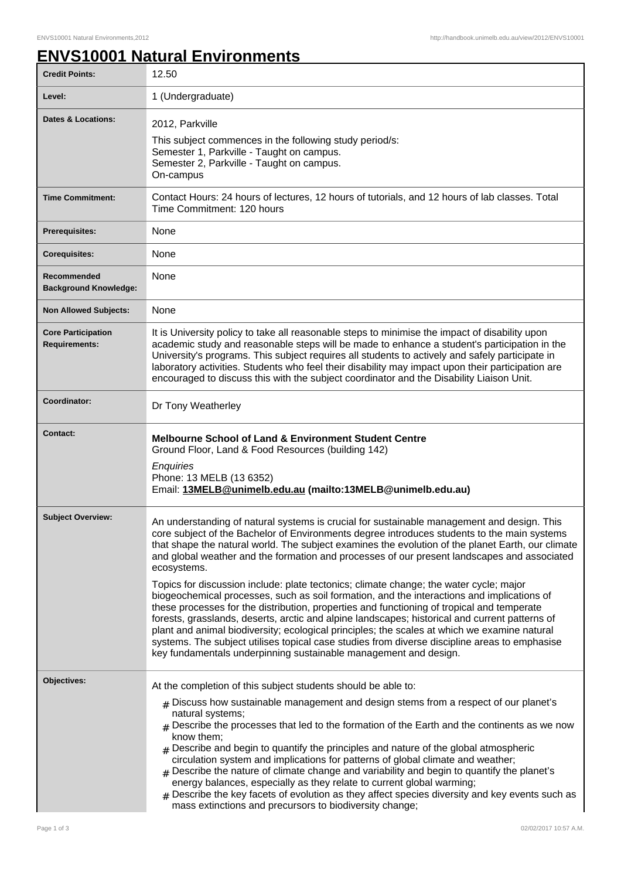## **ENVS10001 Natural Environments**

| <b>Credit Points:</b>                             | 12.50                                                                                                                                                                                                                                                                                                                                                                                                                                                                                                                                                                                                                                                                                                                                                                                                                                                                                                                                                                                                                                                                     |
|---------------------------------------------------|---------------------------------------------------------------------------------------------------------------------------------------------------------------------------------------------------------------------------------------------------------------------------------------------------------------------------------------------------------------------------------------------------------------------------------------------------------------------------------------------------------------------------------------------------------------------------------------------------------------------------------------------------------------------------------------------------------------------------------------------------------------------------------------------------------------------------------------------------------------------------------------------------------------------------------------------------------------------------------------------------------------------------------------------------------------------------|
| Level:                                            | 1 (Undergraduate)                                                                                                                                                                                                                                                                                                                                                                                                                                                                                                                                                                                                                                                                                                                                                                                                                                                                                                                                                                                                                                                         |
| <b>Dates &amp; Locations:</b>                     | 2012, Parkville<br>This subject commences in the following study period/s:<br>Semester 1, Parkville - Taught on campus.<br>Semester 2, Parkville - Taught on campus.<br>On-campus                                                                                                                                                                                                                                                                                                                                                                                                                                                                                                                                                                                                                                                                                                                                                                                                                                                                                         |
| <b>Time Commitment:</b>                           | Contact Hours: 24 hours of lectures, 12 hours of tutorials, and 12 hours of lab classes. Total<br>Time Commitment: 120 hours                                                                                                                                                                                                                                                                                                                                                                                                                                                                                                                                                                                                                                                                                                                                                                                                                                                                                                                                              |
| <b>Prerequisites:</b>                             | None                                                                                                                                                                                                                                                                                                                                                                                                                                                                                                                                                                                                                                                                                                                                                                                                                                                                                                                                                                                                                                                                      |
| <b>Corequisites:</b>                              | None                                                                                                                                                                                                                                                                                                                                                                                                                                                                                                                                                                                                                                                                                                                                                                                                                                                                                                                                                                                                                                                                      |
| Recommended<br><b>Background Knowledge:</b>       | None                                                                                                                                                                                                                                                                                                                                                                                                                                                                                                                                                                                                                                                                                                                                                                                                                                                                                                                                                                                                                                                                      |
| <b>Non Allowed Subjects:</b>                      | None                                                                                                                                                                                                                                                                                                                                                                                                                                                                                                                                                                                                                                                                                                                                                                                                                                                                                                                                                                                                                                                                      |
| <b>Core Participation</b><br><b>Requirements:</b> | It is University policy to take all reasonable steps to minimise the impact of disability upon<br>academic study and reasonable steps will be made to enhance a student's participation in the<br>University's programs. This subject requires all students to actively and safely participate in<br>laboratory activities. Students who feel their disability may impact upon their participation are<br>encouraged to discuss this with the subject coordinator and the Disability Liaison Unit.                                                                                                                                                                                                                                                                                                                                                                                                                                                                                                                                                                        |
| Coordinator:                                      | Dr Tony Weatherley                                                                                                                                                                                                                                                                                                                                                                                                                                                                                                                                                                                                                                                                                                                                                                                                                                                                                                                                                                                                                                                        |
| <b>Contact:</b>                                   | <b>Melbourne School of Land &amp; Environment Student Centre</b><br>Ground Floor, Land & Food Resources (building 142)<br>Enquiries<br>Phone: 13 MELB (13 6352)<br>Email: 13MELB@unimelb.edu.au (mailto:13MELB@unimelb.edu.au)                                                                                                                                                                                                                                                                                                                                                                                                                                                                                                                                                                                                                                                                                                                                                                                                                                            |
| <b>Subject Overview:</b>                          | An understanding of natural systems is crucial for sustainable management and design. This<br>core subject of the Bachelor of Environments degree introduces students to the main systems<br>that shape the natural world. The subject examines the evolution of the planet Earth, our climate<br>and global weather and the formation and processes of our present landscapes and associated<br>ecosystems.<br>Topics for discussion include: plate tectonics; climate change; the water cycle; major<br>biogeochemical processes, such as soil formation, and the interactions and implications of<br>these processes for the distribution, properties and functioning of tropical and temperate<br>forests, grasslands, deserts, arctic and alpine landscapes; historical and current patterns of<br>plant and animal biodiversity; ecological principles; the scales at which we examine natural<br>systems. The subject utilises topical case studies from diverse discipline areas to emphasise<br>key fundamentals underpinning sustainable management and design. |
| Objectives:                                       | At the completion of this subject students should be able to:<br>$_{\#}$ Discuss how sustainable management and design stems from a respect of our planet's<br>natural systems;<br>$_{\#}$ Describe the processes that led to the formation of the Earth and the continents as we now<br>know them;<br>$#$ Describe and begin to quantify the principles and nature of the global atmospheric<br>circulation system and implications for patterns of global climate and weather;<br>$_{\#}$ Describe the nature of climate change and variability and begin to quantify the planet's<br>energy balances, especially as they relate to current global warming;<br>$#$ Describe the key facets of evolution as they affect species diversity and key events such as<br>mass extinctions and precursors to biodiversity change;                                                                                                                                                                                                                                              |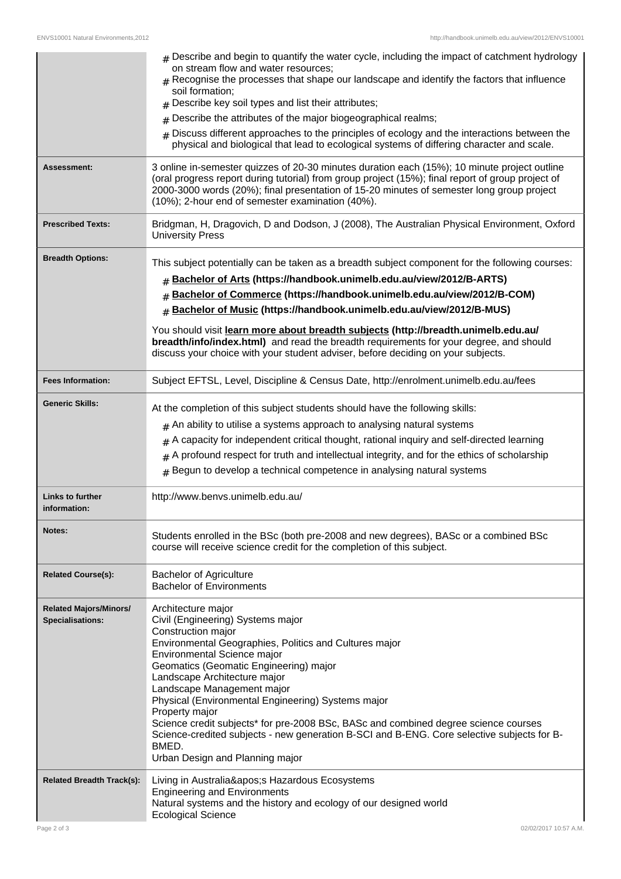|                                                   | $#$ Describe and begin to quantify the water cycle, including the impact of catchment hydrology<br>on stream flow and water resources;<br>$#$ Recognise the processes that shape our landscape and identify the factors that influence<br>soil formation;<br>$#$ Describe key soil types and list their attributes;<br>Describe the attributes of the major biogeographical realms;<br>#<br>Discuss different approaches to the principles of ecology and the interactions between the<br>physical and biological that lead to ecological systems of differing character and scale.                   |
|---------------------------------------------------|-------------------------------------------------------------------------------------------------------------------------------------------------------------------------------------------------------------------------------------------------------------------------------------------------------------------------------------------------------------------------------------------------------------------------------------------------------------------------------------------------------------------------------------------------------------------------------------------------------|
| Assessment:                                       | 3 online in-semester quizzes of 20-30 minutes duration each (15%); 10 minute project outline<br>(oral progress report during tutorial) from group project (15%); final report of group project of<br>2000-3000 words (20%); final presentation of 15-20 minutes of semester long group project<br>(10%); 2-hour end of semester examination (40%).                                                                                                                                                                                                                                                    |
| <b>Prescribed Texts:</b>                          | Bridgman, H, Dragovich, D and Dodson, J (2008), The Australian Physical Environment, Oxford<br><b>University Press</b>                                                                                                                                                                                                                                                                                                                                                                                                                                                                                |
| <b>Breadth Options:</b>                           | This subject potentially can be taken as a breadth subject component for the following courses:<br>Bachelor of Arts (https://handbook.unimelb.edu.au/view/2012/B-ARTS)<br>Bachelor of Commerce (https://handbook.unimelb.edu.au/view/2012/B-COM)<br>#<br>Bachelor of Music (https://handbook.unimelb.edu.au/view/2012/B-MUS)<br>#<br>You should visit learn more about breadth subjects (http://breadth.unimelb.edu.au/<br>breadth/info/index.html) and read the breadth requirements for your degree, and should<br>discuss your choice with your student adviser, before deciding on your subjects. |
| <b>Fees Information:</b>                          | Subject EFTSL, Level, Discipline & Census Date, http://enrolment.unimelb.edu.au/fees                                                                                                                                                                                                                                                                                                                                                                                                                                                                                                                  |
| <b>Generic Skills:</b>                            | At the completion of this subject students should have the following skills:<br>$#$ An ability to utilise a systems approach to analysing natural systems<br>$#$ A capacity for independent critical thought, rational inquiry and self-directed learning<br>$#$ A profound respect for truth and intellectual integrity, and for the ethics of scholarship<br>Begun to develop a technical competence in analysing natural systems<br>#                                                                                                                                                              |
| <b>Links to further</b><br>information:           | http://www.benvs.unimelb.edu.au/                                                                                                                                                                                                                                                                                                                                                                                                                                                                                                                                                                      |
| Notes:                                            | Students enrolled in the BSc (both pre-2008 and new degrees), BASc or a combined BSc<br>course will receive science credit for the completion of this subject.                                                                                                                                                                                                                                                                                                                                                                                                                                        |
| <b>Related Course(s):</b>                         | <b>Bachelor of Agriculture</b><br><b>Bachelor of Environments</b>                                                                                                                                                                                                                                                                                                                                                                                                                                                                                                                                     |
| <b>Related Majors/Minors/</b><br>Specialisations: | Architecture major<br>Civil (Engineering) Systems major<br>Construction major<br>Environmental Geographies, Politics and Cultures major<br>Environmental Science major<br>Geomatics (Geomatic Engineering) major<br>Landscape Architecture major<br>Landscape Management major<br>Physical (Environmental Engineering) Systems major<br>Property major<br>Science credit subjects* for pre-2008 BSc, BASc and combined degree science courses<br>Science-credited subjects - new generation B-SCI and B-ENG. Core selective subjects for B-<br>BMED.<br>Urban Design and Planning major               |
| <b>Related Breadth Track(s):</b>                  | Living in Australia's Hazardous Ecosystems<br><b>Engineering and Environments</b><br>Natural systems and the history and ecology of our designed world<br><b>Ecological Science</b>                                                                                                                                                                                                                                                                                                                                                                                                                   |